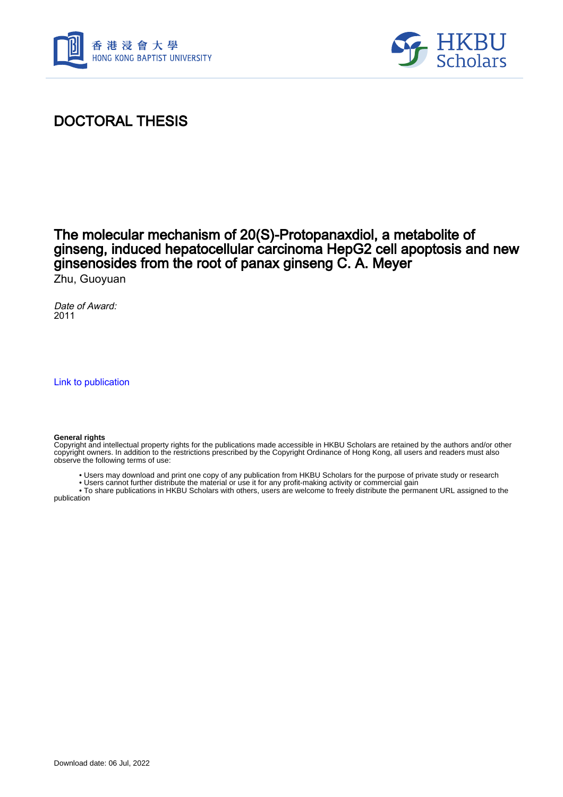



# DOCTORAL THESIS

## The molecular mechanism of 20(S)-Protopanaxdiol, a metabolite of ginseng, induced hepatocellular carcinoma HepG2 cell apoptosis and new ginsenosides from the root of panax ginseng C. A. Meyer

Zhu, Guoyuan

Date of Award: 2011

[Link to publication](https://scholars.hkbu.edu.hk/en/studentTheses/2eb679a0-4cf8-4a70-8bb7-de051ccf18ba)

#### **General rights**

Copyright and intellectual property rights for the publications made accessible in HKBU Scholars are retained by the authors and/or other copyright owners. In addition to the restrictions prescribed by the Copyright Ordinance of Hong Kong, all users and readers must also observe the following terms of use:

• Users may download and print one copy of any publication from HKBU Scholars for the purpose of private study or research

• Users cannot further distribute the material or use it for any profit-making activity or commercial gain

 • To share publications in HKBU Scholars with others, users are welcome to freely distribute the permanent URL assigned to the publication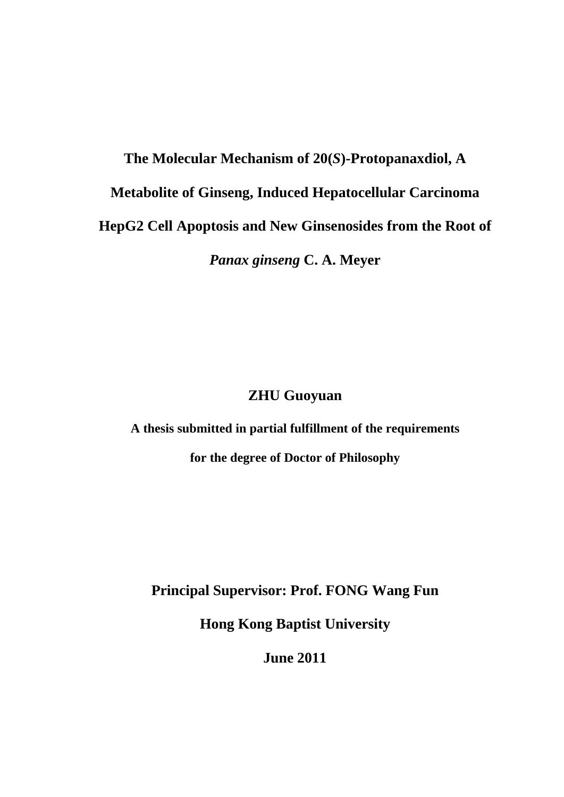**The Molecular Mechanism of 20(***S***)-Protopanaxdiol, A Metabolite of Ginseng, Induced Hepatocellular Carcinoma HepG2 Cell Apoptosis and New Ginsenosides from the Root of**  *Panax ginseng* **C. A. Meyer** 

#### **ZHU Guoyuan**

**A thesis submitted in partial fulfillment of the requirements** 

**for the degree of Doctor of Philosophy** 

**Principal Supervisor: Prof. FONG Wang Fun** 

**Hong Kong Baptist University** 

**June 2011**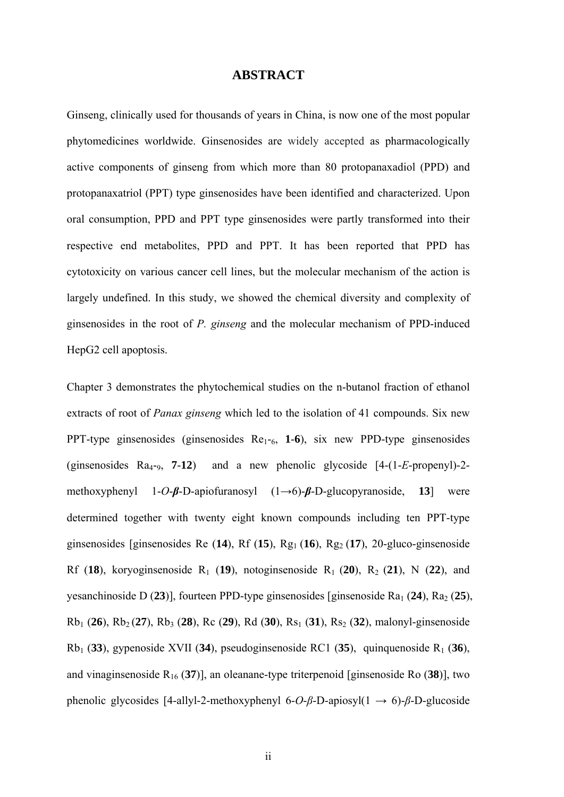#### **ABSTRACT**

Ginseng, clinically used for thousands of years in China, is now one of the most popular phytomedicines worldwide. Ginsenosides are widely accepted as pharmacologically active components of ginseng from which more than 80 protopanaxadiol (PPD) and protopanaxatriol (PPT) type ginsenosides have been identified and characterized. Upon oral consumption, PPD and PPT type ginsenosides were partly transformed into their respective end metabolites, PPD and PPT. It has been reported that PPD has cytotoxicity on various cancer cell lines, but the molecular mechanism of the action is largely undefined. In this study, we showed the chemical diversity and complexity of ginsenosides in the root of *P. ginseng* and the molecular mechanism of PPD-induced HepG2 cell apoptosis.

Chapter 3 demonstrates the phytochemical studies on the n-butanol fraction of ethanol extracts of root of *Panax ginseng* which led to the isolation of 41 compounds. Six new PPT-type ginsenosides (ginsenosides Re1-6, **1**-**6**), six new PPD-type ginsenosides (ginsenosides  $Ra_{4-9}$ , **7-12**) and a new phenolic glycoside  $[4-(1-E-propenyl)-2$ methoxyphenyl 1-*O*-*β*-D-apiofuranosyl (1→6)-*β*-D-glucopyranoside, **13**] were determined together with twenty eight known compounds including ten PPT-type ginsenosides [ginsenosides Re  $(14)$ , Rf  $(15)$ , Rg<sub>1</sub> $(16)$ , Rg<sub>2</sub> $(17)$ , 20-gluco-ginsenoside Rf (18), koryoginsenoside R<sub>1</sub> (19), notoginsenoside R<sub>1</sub> (20), R<sub>2</sub> (21), N (22), and yesanchinoside D (23)], fourteen PPD-type ginsenosides [ginsenoside Ra<sub>1</sub> (24), Ra<sub>2</sub> (25), Rb1 (**26**), Rb2 (**27**), Rb3 (**28**), Rc (**29**), Rd (**30**), Rs1 (**31**), Rs2 (**32**), malonyl-ginsenoside Rb1 (**33**), gypenoside XVII (**34**), pseudoginsenoside RC1 (**35**), quinquenoside R1 (**36**), and vinaginsenoside R16 (**37**)], an oleanane-type triterpenoid [ginsenoside Ro (**38**)], two phenolic glycosides [4-allyl-2-methoxyphenyl 6-*O*-*β*-D-apiosyl(1 → 6)-*β*-D-glucoside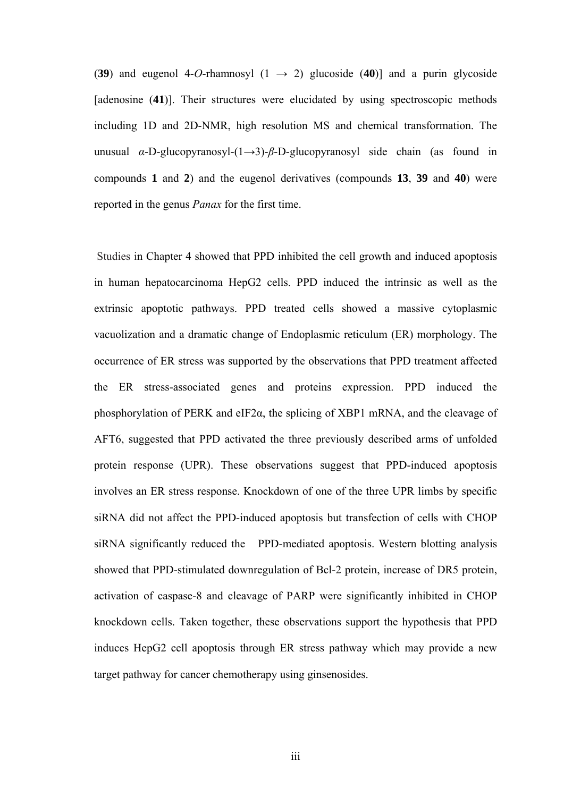(39) and eugenol 4-*O*-rhamnosyl (1  $\rightarrow$  2) glucoside (40)] and a purin glycoside [adenosine (**41**)]. Their structures were elucidated by using spectroscopic methods including 1D and 2D-NMR, high resolution MS and chemical transformation. The unusual *α*-D-glucopyranosyl-(1→3)-*β*-D-glucopyranosyl side chain (as found in compounds **1** and **2**) and the eugenol derivatives (compounds **13**, **39** and **40**) were reported in the genus *Panax* for the first time.

 Studies in Chapter 4 showed that PPD inhibited the cell growth and induced apoptosis in human hepatocarcinoma HepG2 cells. PPD induced the intrinsic as well as the extrinsic apoptotic pathways. PPD treated cells showed a massive cytoplasmic vacuolization and a dramatic change of Endoplasmic reticulum (ER) morphology. The occurrence of ER stress was supported by the observations that PPD treatment affected the ER stress-associated genes and proteins expression. PPD induced the phosphorylation of PERK and eIF2 $\alpha$ , the splicing of XBP1 mRNA, and the cleavage of AFT6, suggested that PPD activated the three previously described arms of unfolded protein response (UPR). These observations suggest that PPD-induced apoptosis involves an ER stress response. Knockdown of one of the three UPR limbs by specific siRNA did not affect the PPD-induced apoptosis but transfection of cells with CHOP siRNA significantly reduced the PPD-mediated apoptosis. Western blotting analysis showed that PPD-stimulated downregulation of Bcl-2 protein, increase of DR5 protein, activation of caspase-8 and cleavage of PARP were significantly inhibited in CHOP knockdown cells. Taken together, these observations support the hypothesis that PPD induces HepG2 cell apoptosis through ER stress pathway which may provide a new target pathway for cancer chemotherapy using ginsenosides.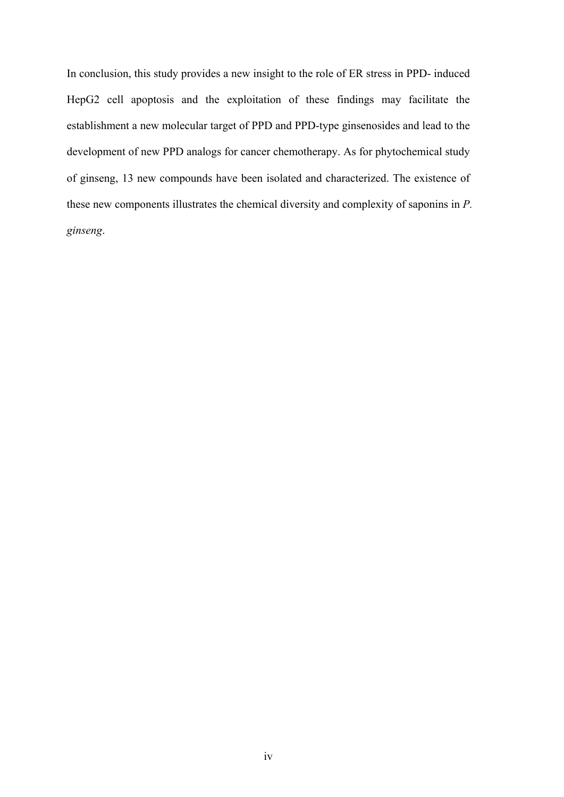In conclusion, this study provides a new insight to the role of ER stress in PPD- induced HepG2 cell apoptosis and the exploitation of these findings may facilitate the establishment a new molecular target of PPD and PPD-type ginsenosides and lead to the development of new PPD analogs for cancer chemotherapy. As for phytochemical study of ginseng, 13 new compounds have been isolated and characterized. The existence of these new components illustrates the chemical diversity and complexity of saponins in *P. ginseng*.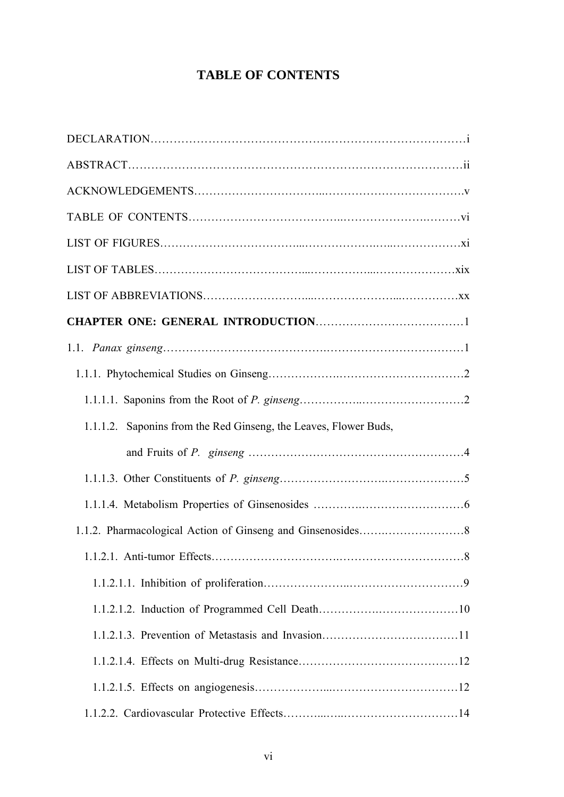### **TABLE OF CONTENTS**

| 1.1.1.2. Saponins from the Red Ginseng, the Leaves, Flower Buds, |  |
|------------------------------------------------------------------|--|
|                                                                  |  |
|                                                                  |  |
|                                                                  |  |
|                                                                  |  |
|                                                                  |  |
|                                                                  |  |
|                                                                  |  |
|                                                                  |  |
|                                                                  |  |
|                                                                  |  |
|                                                                  |  |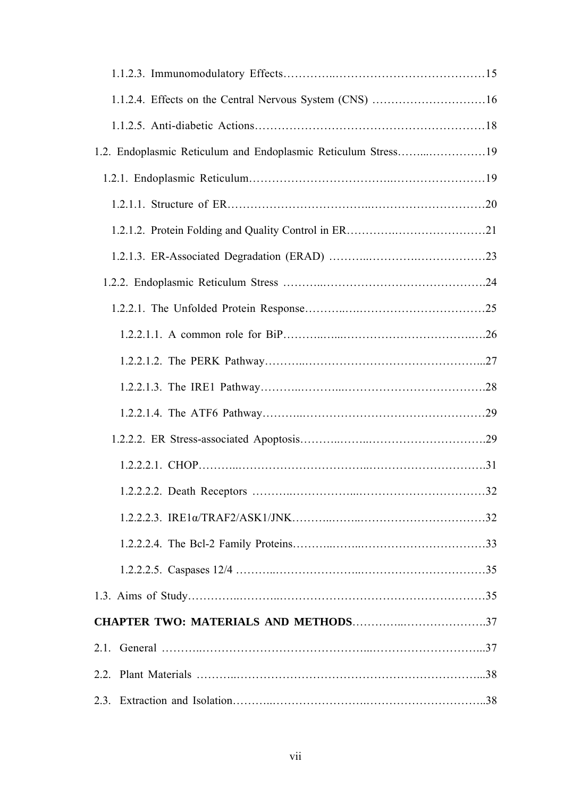| 1.2. Endoplasmic Reticulum and Endoplasmic Reticulum Stress19 |  |
|---------------------------------------------------------------|--|
|                                                               |  |
|                                                               |  |
|                                                               |  |
|                                                               |  |
|                                                               |  |
|                                                               |  |
|                                                               |  |
|                                                               |  |
|                                                               |  |
|                                                               |  |
|                                                               |  |
|                                                               |  |
|                                                               |  |
|                                                               |  |
|                                                               |  |
|                                                               |  |
|                                                               |  |
|                                                               |  |
|                                                               |  |
|                                                               |  |
|                                                               |  |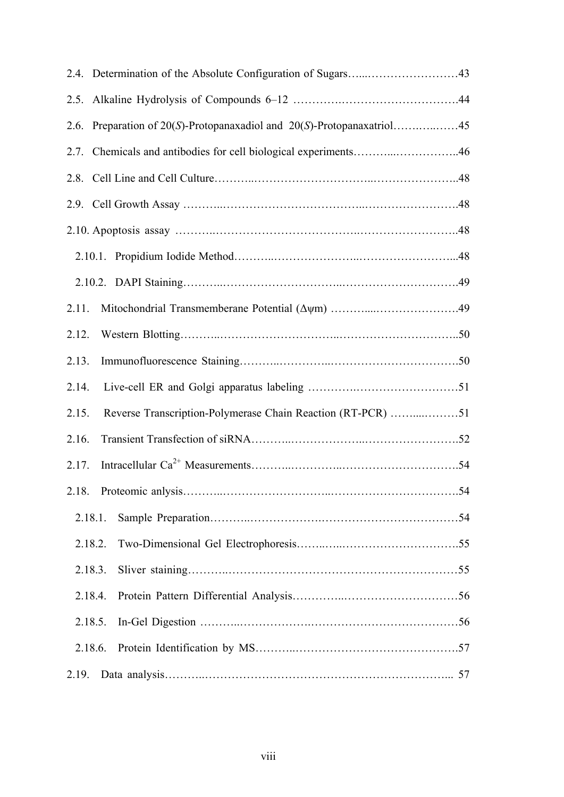| 2.5.    |                                                                        |  |
|---------|------------------------------------------------------------------------|--|
|         | 2.6. Preparation of 20(S)-Protopanaxadiol and 20(S)-Protopanaxatriol45 |  |
|         | 2.7. Chemicals and antibodies for cell biological experiments46        |  |
|         |                                                                        |  |
|         |                                                                        |  |
|         |                                                                        |  |
|         |                                                                        |  |
|         |                                                                        |  |
| 2.11.   |                                                                        |  |
| 2.12.   |                                                                        |  |
| 2.13.   |                                                                        |  |
| 2.14.   |                                                                        |  |
| 2.15.   | Reverse Transcription-Polymerase Chain Reaction (RT-PCR) 51            |  |
| 2.16.   |                                                                        |  |
| 2.17.   |                                                                        |  |
|         |                                                                        |  |
| 2.18.1. |                                                                        |  |
| 2.18.2. |                                                                        |  |
| 2.18.3. |                                                                        |  |
| 2.18.4. |                                                                        |  |
| 2.18.5. |                                                                        |  |
| 2.18.6. |                                                                        |  |
| 2.19.   |                                                                        |  |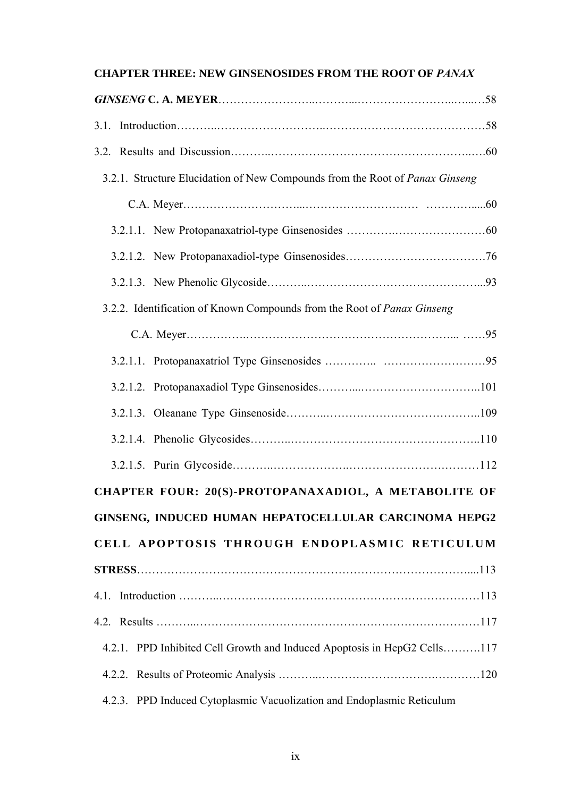#### **CHAPTER THREE: NEW GINSENOSIDES FROM THE ROOT OF** *PANAX*

| 3.2.1. Structure Elucidation of New Compounds from the Root of Panax Ginseng |
|------------------------------------------------------------------------------|
|                                                                              |
|                                                                              |
|                                                                              |
|                                                                              |
| 3.2.2. Identification of Known Compounds from the Root of Panax Ginseng      |
|                                                                              |
|                                                                              |
|                                                                              |
|                                                                              |
|                                                                              |
|                                                                              |
| CHAPTER FOUR: 20(S)-PROTOPANAXADIOL, A METABOLITE OF                         |
| GINSENG, INDUCED HUMAN HEPATOCELLULAR CARCINOMA HEPG2                        |
| CELL APOPTOSIS THROUGH ENDOPLASMIC RETICULUM                                 |
|                                                                              |
|                                                                              |
|                                                                              |
| 4.2.1. PPD Inhibited Cell Growth and Induced Apoptosis in HepG2 Cells117     |
|                                                                              |
| 4.2.3. PPD Induced Cytoplasmic Vacuolization and Endoplasmic Reticulum       |